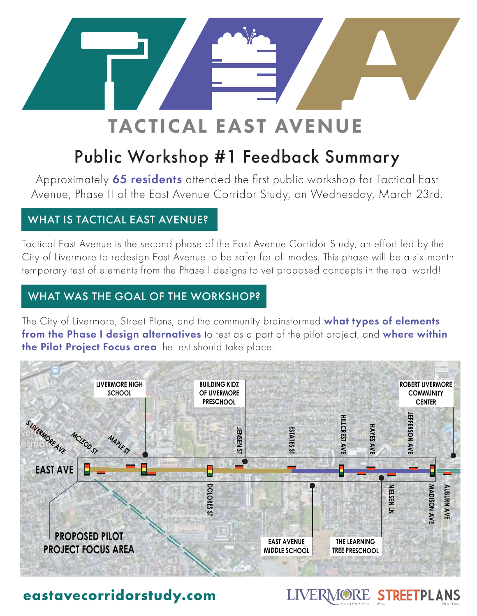

# TACTICAL EAST AVENUE

## Public Workshop #1 Feedback Summary

Approximately 65 residents attended the first public workshop for Tactical East Avenue, Phase II of the East Avenue Corridor Study, on Wednesday, March 23rd.

## WHAT IS TACTICAL EAST AVENUE?

Tactical East Avenue is the second phase of the East Avenue Corridor Study, an effort led by the City of Livermore to redesign East Avenue to be safer for all modes. This phase will be a six-month and the safe<br>All the contract of the safe of the safety of the safety of the safety of the same of the same of the same of temporary test of elements from the Phase I designs to vet proposed concepts in the real world!

## WHAT WAS THE GOAL OF THE WORKSHOP?

The City of Livermore, Street Plans, and the community brainstormed what types of elements from the Phase I design alternatives to test as a part of the pilot project, and where within the Pilot Project Focus area the test should take place.



Miami New York

LIVERMORE STREETPLANS

## **eastavecorridorstudy.com**